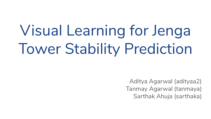# Visual Learning for Jenga Tower Stability Prediction

Aditya Agarwal (adityaa2) Tanmay Agarwal (tanmaya) Sarthak Ahuja (sarthaka)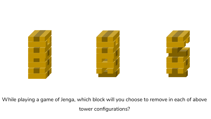

While playing a game of Jenga, which block will you choose to remove in each of above tower configurations?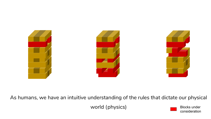

As humans, we have an intuitive understanding of the rules that dictate our physical

world (physics) Blocks under

consideration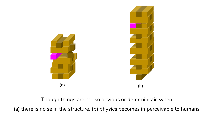

Though things are not so obvious or deterministic when

(a) there is noise in the structure, (b) physics becomes imperceivable to humans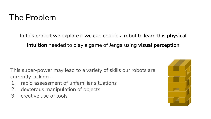#### The Problem

In this project we explore if we can enable a robot to learn this **physical intuition** needed to play a game of Jenga using **visual perception**

This super-power may lead to a variety of skills our robots are currently lacking -

- 1. rapid assessment of unfamiliar situations
- 2. dexterous manipulation of objects
- 3. creative use of tools

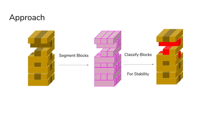#### Approach

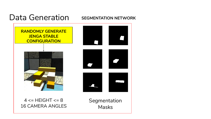#### Data Generation **SEGMENTATION NETWORK**

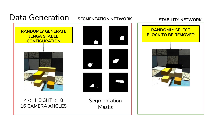#### Data Generation

**SEGMENTATION NETWORK STABILITY NETWORK**



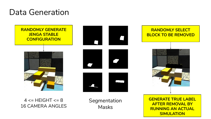#### Data Generation



 $4 \leq H E \leq HT \leq 8$ 16 CAMERA ANGLES Segmentation Masks

ENERATE TRUE LABEI<br>AFTED DEMOVAL BY **RUNNING AN ACTUAL AFTER REMOVAL BY SIMULATION**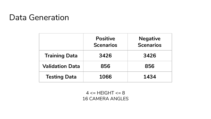#### Data Generation

|                        | <b>Positive</b><br><b>Scenarios</b> | <b>Negative</b><br><b>Scenarios</b> |
|------------------------|-------------------------------------|-------------------------------------|
| <b>Training Data</b>   | 3426                                | 3426                                |
| <b>Validation Data</b> | 856                                 | 856                                 |
| <b>Testing Data</b>    | 1066                                | 1434                                |

 $4 \leq H E \le H T \leq 8$ 16 CAMERA ANGLES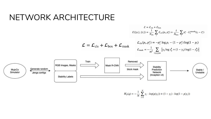#### NETWORK ARCHITECTURE



$$
H_p(q) = -\frac{1}{N} \sum_{i=1}^{N} y_i \cdot log(p(y_i)) + (1 - y_i) \cdot log(1 - p(y_i))
$$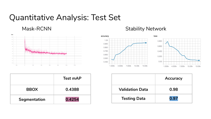#### Quantitative Analysis: Test Set

Mask-RCNN



#### Stability Network



|              | Test mAP |
|--------------|----------|
| <b>BBOX</b>  | 0.4388   |
| Segmentation | 0.4254   |

|                        | Accuracy |
|------------------------|----------|
| <b>Validation Data</b> | 0.98     |
| <b>Testing Data</b>    | 0.97     |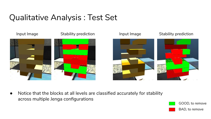## Qualitative Analysis : Test Set



Notice that the blocks at all levels are classified accurately for stability across multiple Jenga configurations

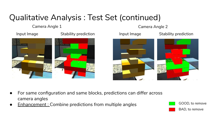## Qualitative Analysis : Test Set (continued)

Camera Angle 1 Camera Angle 2





- For same configuration and same blocks, predictions can differ across camera angles
- $E$ nhancement : Combine predictions from multiple angles

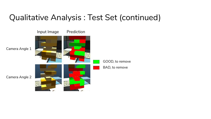#### Qualitative Analysis : Test Set (continued)

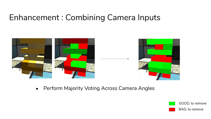#### Enhancement : Combining Camera Inputs



• Perform Majority Voting Across Camera Angles

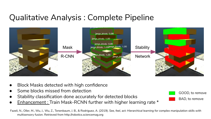## Qualitative Analysis : Complete Pipeline



- Block Masks detected with high confidence
- Some blocks missed from detection
- Stability classification done accurately for detected blocks
- Enhancement : Train Mask-RCNN further with higher learning rate  $*$

Fazeli, N., Oller, M., Wu, J., Wu, Z., Tenenbaum, J. B., & Rodriguez, A. (2019). *See, feel, act: Hierarchical learning for complex manipulation skills with multisensory fusion*. Retrieved from http://robotics.sciencemag.org

GOOD, to remove

BAD, to remove